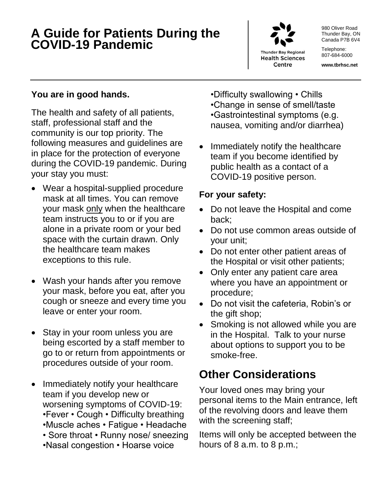### **A Guide for Patients During the COVID-19 Pandemic**



**Thunder Bay Regional Health Sciences** Centre

980 Oliver Road Thunder Bay, ON Canada P7B 6V4

Telephone: 807-684-6000

**www.tbrhsc.net**

#### **You are in good hands.**

The health and safety of all patients, staff, professional staff and the community is our top priority. The following measures and guidelines are in place for the protection of everyone during the COVID-19 pandemic. During your stay you must:

- Wear a hospital-supplied procedure mask at all times. You can remove your mask only when the healthcare team instructs you to or if you are alone in a private room or your bed space with the curtain drawn. Only the healthcare team makes exceptions to this rule.
- Wash your hands after you remove your mask, before you eat, after you cough or sneeze and every time you leave or enter your room.
- Stay in your room unless you are being escorted by a staff member to go to or return from appointments or procedures outside of your room.
- Immediately notify your healthcare team if you develop new or worsening symptoms of COVID-19: •Fever • Cough • Difficulty breathing •Muscle aches • Fatigue • Headache • Sore throat • Runny nose/ sneezing •Nasal congestion • Hoarse voice

•Difficulty swallowing • Chills •Change in sense of smell/taste •Gastrointestinal symptoms (e.g. nausea, vomiting and/or diarrhea)

 Immediately notify the healthcare team if you become identified by public health as a contact of a COVID-19 positive person.

### **For your safety:**

- Do not leave the Hospital and come back;
- Do not use common areas outside of your unit;
- Do not enter other patient areas of the Hospital or visit other patients;
- Only enter any patient care area where you have an appointment or procedure;
- Do not visit the cafeteria, Robin's or the gift shop;
- Smoking is not allowed while you are in the Hospital. Talk to your nurse about options to support you to be smoke-free.

# **Other Considerations**

Your loved ones may bring your personal items to the Main entrance, left of the revolving doors and leave them with the screening staff;

Items will only be accepted between the hours of 8 a.m. to 8 p.m.;